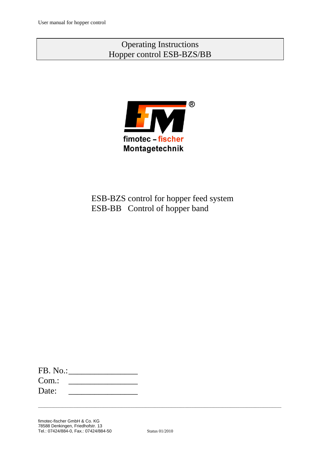# Operating Instructions Hopper control ESB-BZS/BB



ESB-BZS control for hopper feed system ESB-BB Control of hopper band

| FB. No.: |  |
|----------|--|
| Com.     |  |
| Date:    |  |

\_\_\_\_\_\_\_\_\_\_\_\_\_\_\_\_\_\_\_\_\_\_\_\_\_\_\_\_\_\_\_\_\_\_\_\_\_\_\_\_\_\_\_\_\_\_\_\_\_\_\_\_\_\_\_\_\_\_\_\_\_\_\_\_\_\_\_\_\_\_\_\_\_\_\_\_\_\_\_\_\_\_\_\_\_\_\_\_\_\_\_\_\_\_\_\_\_\_\_\_\_\_\_\_\_\_\_\_\_\_\_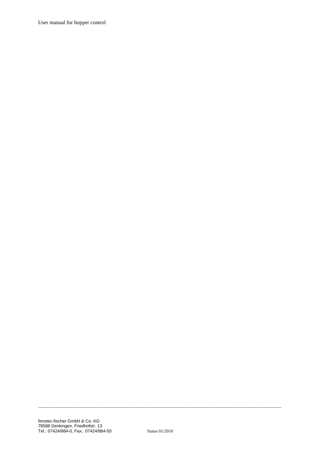User manual for hopper control

\_\_\_\_\_\_\_\_\_\_\_\_\_\_\_\_\_\_\_\_\_\_\_\_\_\_\_\_\_\_\_\_\_\_\_\_\_\_\_\_\_\_\_\_\_\_\_\_\_\_\_\_\_\_\_\_\_\_\_\_\_\_\_\_\_\_\_\_\_\_\_\_\_\_\_\_\_\_\_\_\_\_\_\_\_\_\_\_\_\_\_\_\_\_\_\_\_\_\_\_\_\_\_\_\_\_\_\_\_\_\_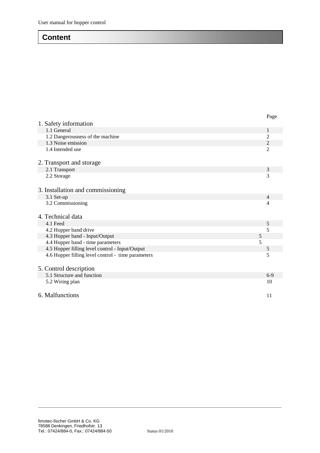# **Content**

|                                                    | Page           |
|----------------------------------------------------|----------------|
| 1. Safety information                              |                |
| 1.1 General                                        | 1              |
| 1.2 Dangerousness of the machine                   | $\mathfrak{2}$ |
| 1.3 Noise emission                                 | $\overline{2}$ |
| 1.4 Intended use                                   | $\overline{2}$ |
| 2. Transport and storage                           |                |
| 2.1 Transport                                      | 3              |
| 2.2 Storage                                        | 3              |
|                                                    |                |
| 3. Installation and commissioning                  |                |
| 3.1 Set-up                                         | $\overline{4}$ |
| 3.2 Commissioning                                  | 4              |
|                                                    |                |
| 4. Technical data                                  |                |
| 4.1 Feed                                           | 5              |
| 4.2 Hopper band drive                              | 5              |
| 4.3 Hopper band - Input/Output                     | 5              |
| 4.4 Hopper band - time parameters                  | 5              |
| 4.5 Hopper filling level control - Input/Output    | 5              |
| 4.6 Hopper filling level control - time parameters | 5              |
|                                                    |                |
| 5. Control description                             |                |
| 5.1 Structure and function                         | $6-9$          |
| 5.2 Wiring plan                                    | 10             |
|                                                    |                |
| 6. Malfunctions                                    | 11             |

\_\_\_\_\_\_\_\_\_\_\_\_\_\_\_\_\_\_\_\_\_\_\_\_\_\_\_\_\_\_\_\_\_\_\_\_\_\_\_\_\_\_\_\_\_\_\_\_\_\_\_\_\_\_\_\_\_\_\_\_\_\_\_\_\_\_\_\_\_\_\_\_\_\_\_\_\_\_\_\_\_\_\_\_\_\_\_\_\_\_\_\_\_\_\_\_\_\_\_\_\_\_\_\_\_\_\_\_\_\_\_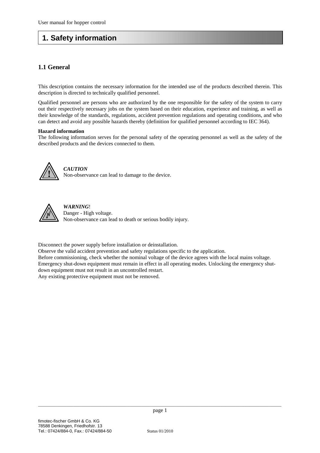# **1. Safety information**

## **1.1 General**

This description contains the necessary information for the intended use of the products described therein. This description is directed to technically qualified personnel.

Qualified personnel are persons who are authorized by the one responsible for the safety of the system to carry out their respectively necessary jobs on the system based on their education, experience and training, as well as their knowledge of the standards, regulations, accident prevention regulations and operating conditions, and who can detect and avoid any possible hazards thereby (definition for qualified personnel according to IEC 364).

#### **Hazard information**

The following information serves for the personal safety of the operating personnel as well as the safety of the described products and the devices connected to them.



*CAUTION* Non-observance can lead to damage to the device.



*WARNING*! Danger - High voltage. Non-observance can lead to death or serious bodily injury.

Disconnect the power supply before installation or deinstallation.

Observe the valid accident prevention and safety regulations specific to the application.

Before commissioning, check whether the nominal voltage of the device agrees with the local mains voltage. Emergency shut-down equipment must remain in effect in all operating modes. Unlocking the emergency shutdown equipment must not result in an uncontrolled restart.

Any existing protective equipment must not be removed.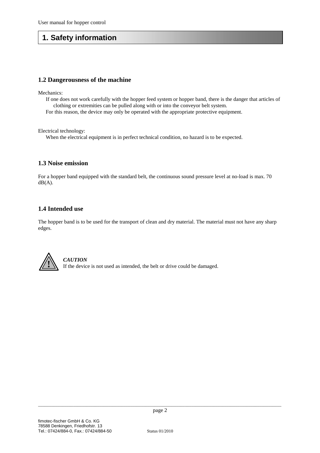# **1. Safety information**

### **1.2 Dangerousness of the machine**

Mechanics:

If one does not work carefully with the hopper feed system or hopper band, there is the danger that articles of clothing or extremities can be pulled along with or into the conveyor belt system.

For this reason, the device may only be operated with the appropriate protective equipment.

Electrical technology:

When the electrical equipment is in perfect technical condition, no hazard is to be expected.

### **1.3 Noise emission**

For a hopper band equipped with the standard belt, the continuous sound pressure level at no-load is max. 70  $dB(A)$ .

## **1.4 Intended use**

The hopper band is to be used for the transport of clean and dry material. The material must not have any sharp edges.



*CAUTION* If the device is not used as intended, the belt or drive could be damaged.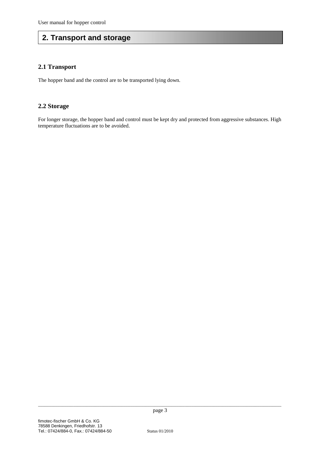# **2. Transport and storage**

## **2.1 Transport**

The hopper band and the control are to be transported lying down.

### **2.2 Storage**

For longer storage, the hopper band and control must be kept dry and protected from aggressive substances. High temperature fluctuations are to be avoided.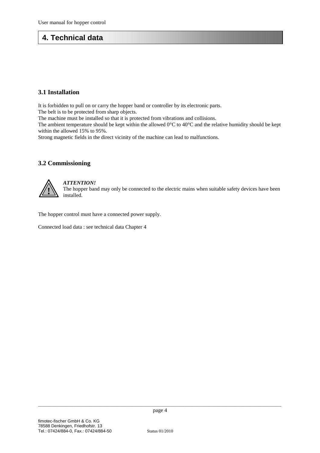# **3. Installation and commissioning 4. Technical data**

## **3.1 Installation**

It is forbidden to pull on or carry the hopper band or controller by its electronic parts.

The belt is to be protected from sharp objects.

The machine must be installed so that it is protected from vibrations and collisions.

The ambient temperature should be kept within the allowed 0°C to 40°C and the relative humidity should be kept within the allowed 15% to 95%.

Strong magnetic fields in the direct vicinity of the machine can lead to malfunctions.

## **3.2 Commissioning**



### *ATTENTION!*

The hopper band may only be connected to the electric mains when suitable safety devices have been installed.

The hopper control must have a connected power supply.

Connected load data : see technical data Chapter 4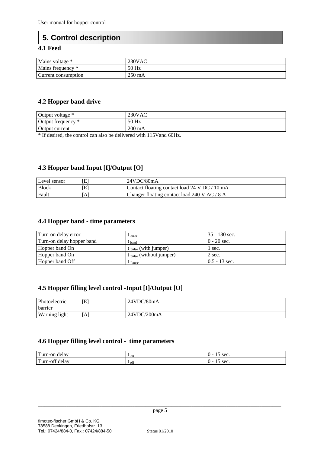## **4.1 Feed**

| Mains voltage *     | $230$ VAC |
|---------------------|-----------|
| Mains frequency     | 50 Hz     |
| Current consumption | 250 mA    |

## **4.2 Hopper band drive**

| Output voltage *   | $230$ VAC        |
|--------------------|------------------|
| Output frequency * | 50 Hz            |
| Output current     | $200 \text{ mA}$ |

\* If desired, the control can also be delivered with 115Vand 60Hz.

# **4.3 Hopper band Input [I]/Output [O]**

| Level sensor |     | 24VDC/80mA                                    |
|--------------|-----|-----------------------------------------------|
| <b>Block</b> | Έ   | Contact floating contact load 24 V DC / 10 mA |
| Fault        | [A] | Changer floating contact load 240 V AC / 8 A  |

### **4.4 Hopper band - time parameters**

| Turn-on delay error       | <sup>t</sup> error                  | $35 - 180$ sec. |
|---------------------------|-------------------------------------|-----------------|
| Turn-on delay hopper band | $\mathfrak{r}_{\rm band}$           | $0 - 20$ sec.   |
| Hopper band On            | $t_{\text{pulse}}$ (with jumper)    | l sec.          |
| Hopper band On            | $t_{\text{pulse}}$ (without jumper) | 2 sec.          |
| Hopper band Off           | Pause                               | $0.5 - 13$ sec. |

# **4.5 Hopper filling level control -Input [I]/Output [O]**

| Photoelectric | [E] | 24VDC/80mA  |
|---------------|-----|-------------|
| barrier       |     |             |
| Warning light | IAI | 24VDC/200mA |

### **4.6 Hopper filling level control - time parameters**

| $\mathbf{r}$<br>. delav<br>⊦urn-on | $\cdot$ on  | -<br>sec.<br>. . J<br>л. |
|------------------------------------|-------------|--------------------------|
| m<br>$\alpha$<br>delay<br>urn-off  | $\iota$ off | sec.<br>1J<br>л.         |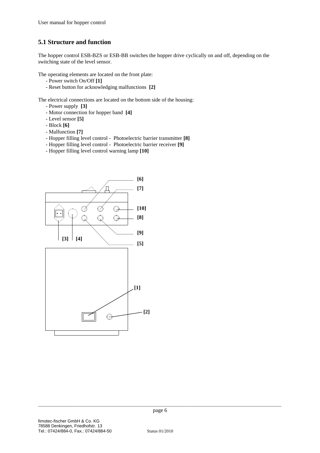### **5.1 Structure and function**

The hopper control ESB-BZS or ESB-BB switches the hopper drive cyclically on and off, depending on the switching state of the level sensor.

The operating elements are located on the front plate:

- Power switch On/Off **[1]**
- Reset button for acknowledging malfunctions **[2]**

The electrical connections are located on the bottom side of the housing:

- Power supply **[3]**
- Motor connection for hopper band **[4]**
- Level sensor **[5]**
- Block **[6]**
- Malfunction **[7]**
- Hopper filling level control Photoelectric barrier transmitter **[8]**
- Hopper filling level control Photoelectric barrier receiver **[9]**
- Hopper filling level control warning lamp **[10]**

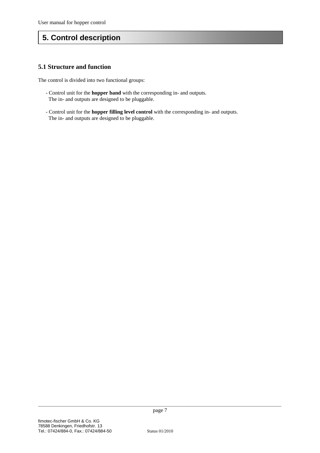## **5.1 Structure and function**

The control is divided into two functional groups:

- Control unit for the **hopper band** with the corresponding in- and outputs. The in- and outputs are designed to be pluggable.
- Control unit for the **hopper filling level control** with the corresponding in- and outputs. The in- and outputs are designed to be pluggable.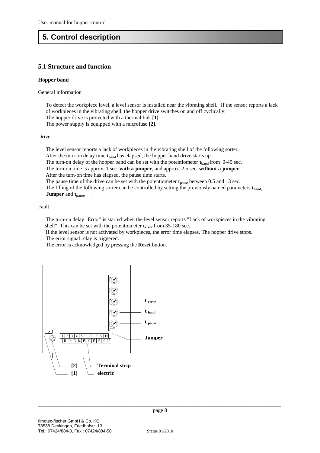### **5.1 Structure and function**

### **Hopper band**

General information

To detect the workpiece level, a level sensor is installed near the vibrating shell. If the sensor reports a lack of workpieces in the vibrating shell, the hopper drive switches on and off cyclically. The hopper drive is protected with a thermal link **[1]**.

The power supply is equipped with a microfuse **[2]**.

### Drive

The level sensor reports a lack of workpieces in the vibrating shell of the following sorter. After the turn-on delay time **tband** has elapsed, the hopper band drive starts up. The turn-on delay of the hopper band can be set with the potentiometer  $t_{band}$  from 0-45 sec. The turn-on time is approx. 1 sec. **with a jumper**, and approx. 2.5 sec. **without a jumper**. After the turn-on time has elapsed, the pause time starts. The pause time of the drive can be set with the potentiometer **tpause** between 0.5 and 13 sec. The filling of the following sorter can be controlled by setting the previously named parameters **tband,**

**Jumper** and **t**<sub>pause</sub>

### Fault

The turn-on delay "Error" is started when the level sensor reports "Lack of workpieces in the vibrating shell". This can be set with the potentiometer **terror** from 35-180 sec.

If the level sensor is not activated by workpieces, the error time elapses. The hopper drive stops. The error signal relay is triggered.

The error is acknowledged by pressing the **Reset** button.

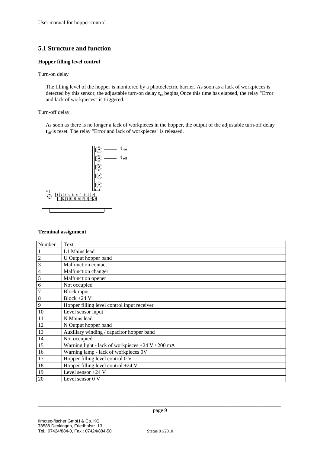## **5.1 Structure and function**

### **Hopper filling level control**

### Turn-on delay

The filling level of the hopper is monitored by a photoelectric barrier. As soon as a lack of workpieces is detected by this sensor, the adjustable turn-on delay **ton** begins**.** Once this time has elapsed, the relay "Error and lack of workpieces" is triggered.

### Turn-off delay

As soon as there is no longer a lack of workpieces in the hopper, the output of the adjustable turn-off delay **toff** is reset. The relay "Error and lack of workpieces" is released.



#### **Terminal assignment**

| Number         | Text                                              |
|----------------|---------------------------------------------------|
|                | L1 Mains lead                                     |
| $\overline{c}$ | U Output hopper band                              |
| 3              | Malfunction contact                               |
| $\overline{4}$ | Malfunction changer                               |
| 5              | Malfunction opener                                |
| 6              | Not occupied                                      |
| $\overline{7}$ | <b>Block</b> input                                |
| $\,8\,$        | $Block + 24 V$                                    |
| 9              | Hopper filling level control input receiver       |
| 10             | Level sensor input                                |
| 11             | N Mains lead                                      |
| 12             | N Output hopper band                              |
| 13             | Auxiliary winding / capacitor hopper band         |
| 14             | Not occupied                                      |
| 15             | Warning light - lack of workpieces +24 V / 200 mA |
| 16             | Warning lamp - lack of workpieces 0V              |
| 17             | Hopper filling level control 0 V                  |
| 18             | Hopper filling level control $+24$ V              |
| 19             | Level sensor +24 V                                |
| 20             | Level sensor 0 V                                  |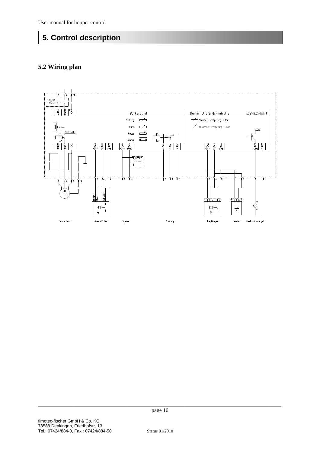# **5.2 Wiring plan**